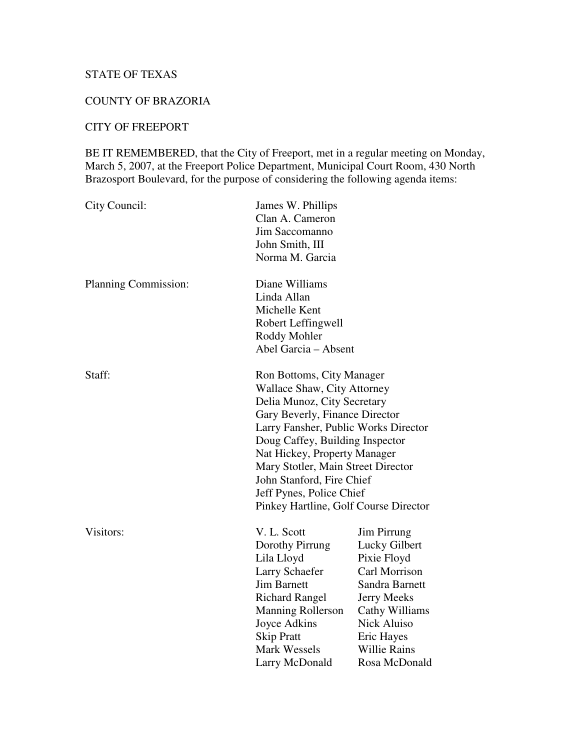## STATE OF TEXAS

## COUNTY OF BRAZORIA

## CITY OF FREEPORT

BE IT REMEMBERED, that the City of Freeport, met in a regular meeting on Monday, March 5, 2007, at the Freeport Police Department, Municipal Court Room, 430 North Brazosport Boulevard, for the purpose of considering the following agenda items:

| City Council:        | James W. Phillips<br>Clan A. Cameron<br>Jim Saccomanno<br>John Smith, III<br>Norma M. Garcia                                                                                                                                                                                                                                                                                 |                                                                                                                                                                                                    |
|----------------------|------------------------------------------------------------------------------------------------------------------------------------------------------------------------------------------------------------------------------------------------------------------------------------------------------------------------------------------------------------------------------|----------------------------------------------------------------------------------------------------------------------------------------------------------------------------------------------------|
| Planning Commission: | Diane Williams<br>Linda Allan<br>Michelle Kent<br>Robert Leffingwell<br>Roddy Mohler<br>Abel Garcia - Absent                                                                                                                                                                                                                                                                 |                                                                                                                                                                                                    |
| Staff:               | Ron Bottoms, City Manager<br>Wallace Shaw, City Attorney<br>Delia Munoz, City Secretary<br>Gary Beverly, Finance Director<br>Larry Fansher, Public Works Director<br>Doug Caffey, Building Inspector<br>Nat Hickey, Property Manager<br>Mary Stotler, Main Street Director<br>John Stanford, Fire Chief<br>Jeff Pynes, Police Chief<br>Pinkey Hartline, Golf Course Director |                                                                                                                                                                                                    |
| Visitors:            | V. L. Scott<br>Dorothy Pirrung<br>Lila Lloyd<br>Larry Schaefer<br><b>Jim Barnett</b><br><b>Richard Rangel</b><br><b>Manning Rollerson</b><br>Joyce Adkins<br><b>Skip Pratt</b><br><b>Mark Wessels</b><br>Larry McDonald                                                                                                                                                      | Jim Pirrung<br>Lucky Gilbert<br>Pixie Floyd<br>Carl Morrison<br>Sandra Barnett<br><b>Jerry Meeks</b><br>Cathy Williams<br><b>Nick Aluiso</b><br>Eric Hayes<br><b>Willie Rains</b><br>Rosa McDonald |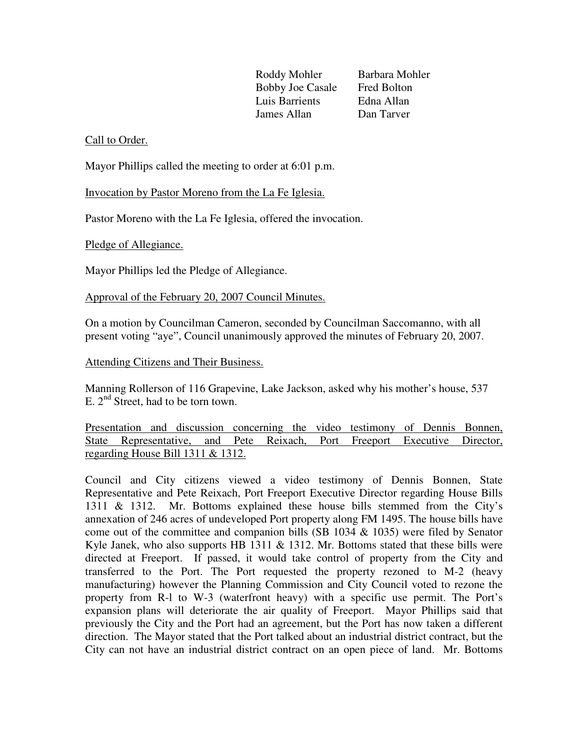Roddy Mohler Barbara Mohler Bobby Joe Casale Fred Bolton Luis Barrients Edna Allan James Allan Dan Tarver

## Call to Order.

Mayor Phillips called the meeting to order at 6:01 p.m.

Invocation by Pastor Moreno from the La Fe Iglesia.

Pastor Moreno with the La Fe Iglesia, offered the invocation.

Pledge of Allegiance.

Mayor Phillips led the Pledge of Allegiance.

Approval of the February 20, 2007 Council Minutes.

On a motion by Councilman Cameron, seconded by Councilman Saccomanno, with all present voting "aye", Council unanimously approved the minutes of February 20, 2007.

Attending Citizens and Their Business.

Manning Rollerson of 116 Grapevine, Lake Jackson, asked why his mother's house, 537 E.  $2<sup>nd</sup>$  Street, had to be torn town.

Presentation and discussion concerning the video testimony of Dennis Bonnen, State Representative, and Pete Reixach, Port Freeport Executive Director, regarding House Bill 1311 & 1312.

Council and City citizens viewed a video testimony of Dennis Bonnen, State Representative and Pete Reixach, Port Freeport Executive Director regarding House Bills 1311 & 1312. Mr. Bottoms explained these house bills stemmed from the City's annexation of 246 acres of undeveloped Port property along FM 1495. The house bills have come out of the committee and companion bills (SB 1034 & 1035) were filed by Senator Kyle Janek, who also supports HB 1311  $\&$  1312. Mr. Bottoms stated that these bills were directed at Freeport. If passed, it would take control of property from the City and transferred to the Port. The Port requested the property rezoned to M-2 (heavy manufacturing) however the Planning Commission and City Council voted to rezone the property from R-l to W-3 (waterfront heavy) with a specific use permit. The Port's expansion plans will deteriorate the air quality of Freeport. Mayor Phillips said that previously the City and the Port had an agreement, but the Port has now taken a different direction. The Mayor stated that the Port talked about an industrial district contract, but the City can not have an industrial district contract on an open piece of land. Mr. Bottoms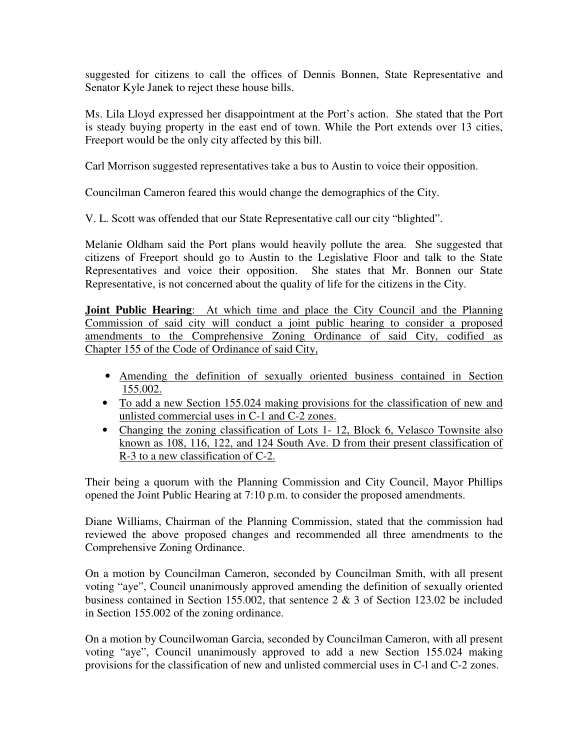suggested for citizens to call the offices of Dennis Bonnen, State Representative and Senator Kyle Janek to reject these house bills.

Ms. Lila Lloyd expressed her disappointment at the Port's action. She stated that the Port is steady buying property in the east end of town. While the Port extends over 13 cities, Freeport would be the only city affected by this bill.

Carl Morrison suggested representatives take a bus to Austin to voice their opposition.

Councilman Cameron feared this would change the demographics of the City.

V. L. Scott was offended that our State Representative call our city "blighted".

Melanie Oldham said the Port plans would heavily pollute the area. She suggested that citizens of Freeport should go to Austin to the Legislative Floor and talk to the State Representatives and voice their opposition. She states that Mr. Bonnen our State Representative, is not concerned about the quality of life for the citizens in the City.

**Joint Public Hearing**: At which time and place the City Council and the Planning Commission of said city will conduct a joint public hearing to consider a proposed amendments to the Comprehensive Zoning Ordinance of said City, codified as Chapter 155 of the Code of Ordinance of said City,

- Amending the definition of sexually oriented business contained in Section 155.002.
- To add a new Section 155.024 making provisions for the classification of new and unlisted commercial uses in C-1 and C-2 zones.
- Changing the zoning classification of Lots 1-12, Block 6, Velasco Townsite also known as 108, 116, 122, and 124 South Ave. D from their present classification of R-3 to a new classification of C-2.

Their being a quorum with the Planning Commission and City Council, Mayor Phillips opened the Joint Public Hearing at 7:10 p.m. to consider the proposed amendments.

Diane Williams, Chairman of the Planning Commission, stated that the commission had reviewed the above proposed changes and recommended all three amendments to the Comprehensive Zoning Ordinance.

On a motion by Councilman Cameron, seconded by Councilman Smith, with all present voting "aye", Council unanimously approved amending the definition of sexually oriented business contained in Section 155.002, that sentence 2 & 3 of Section 123.02 be included in Section 155.002 of the zoning ordinance.

On a motion by Councilwoman Garcia, seconded by Councilman Cameron, with all present voting "aye", Council unanimously approved to add a new Section 155.024 making provisions for the classification of new and unlisted commercial uses in C-l and C-2 zones.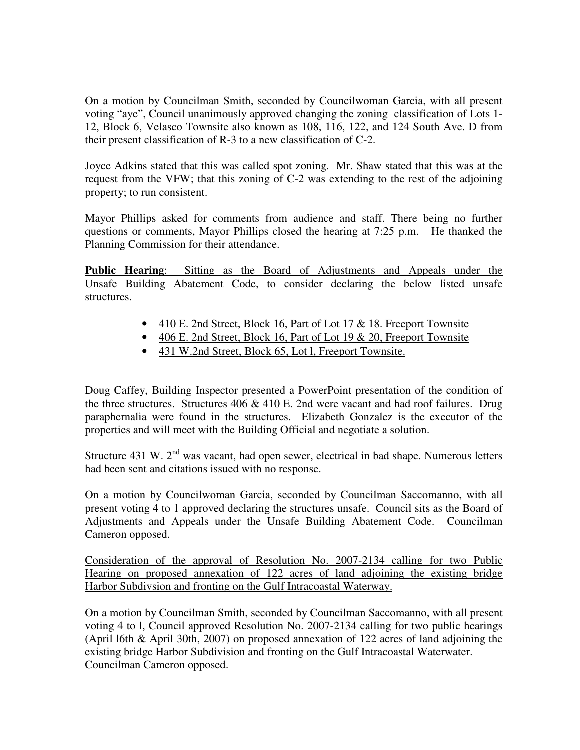On a motion by Councilman Smith, seconded by Councilwoman Garcia, with all present voting "aye", Council unanimously approved changing the zoning classification of Lots 1- 12, Block 6, Velasco Townsite also known as 108, 116, 122, and 124 South Ave. D from their present classification of R-3 to a new classification of C-2.

Joyce Adkins stated that this was called spot zoning. Mr. Shaw stated that this was at the request from the VFW; that this zoning of C-2 was extending to the rest of the adjoining property; to run consistent.

Mayor Phillips asked for comments from audience and staff. There being no further questions or comments, Mayor Phillips closed the hearing at 7:25 p.m. He thanked the Planning Commission for their attendance.

**Public Hearing**: Sitting as the Board of Adjustments and Appeals under the Unsafe Building Abatement Code, to consider declaring the below listed unsafe structures.

- 410 E. 2nd Street, Block 16, Part of Lot 17 & 18. Freeport Townsite
- $406$  E. 2nd Street, Block 16, Part of Lot 19 & 20, Freeport Townsite
- 431 W.2nd Street, Block 65, Lot l, Freeport Townsite.

Doug Caffey, Building Inspector presented a PowerPoint presentation of the condition of the three structures. Structures  $406 \& 410 \text{ E}$ . 2nd were vacant and had roof failures. Drug paraphernalia were found in the structures. Elizabeth Gonzalez is the executor of the properties and will meet with the Building Official and negotiate a solution.

Structure 431 W.  $2<sup>nd</sup>$  was vacant, had open sewer, electrical in bad shape. Numerous letters had been sent and citations issued with no response.

On a motion by Councilwoman Garcia, seconded by Councilman Saccomanno, with all present voting 4 to 1 approved declaring the structures unsafe. Council sits as the Board of Adjustments and Appeals under the Unsafe Building Abatement Code. Councilman Cameron opposed.

Consideration of the approval of Resolution No. 2007-2134 calling for two Public Hearing on proposed annexation of 122 acres of land adjoining the existing bridge Harbor Subdivsion and fronting on the Gulf Intracoastal Waterway.

On a motion by Councilman Smith, seconded by Councilman Saccomanno, with all present voting 4 to l, Council approved Resolution No. 2007-2134 calling for two public hearings (April l6th & April 30th, 2007) on proposed annexation of 122 acres of land adjoining the existing bridge Harbor Subdivision and fronting on the Gulf Intracoastal Waterwater. Councilman Cameron opposed.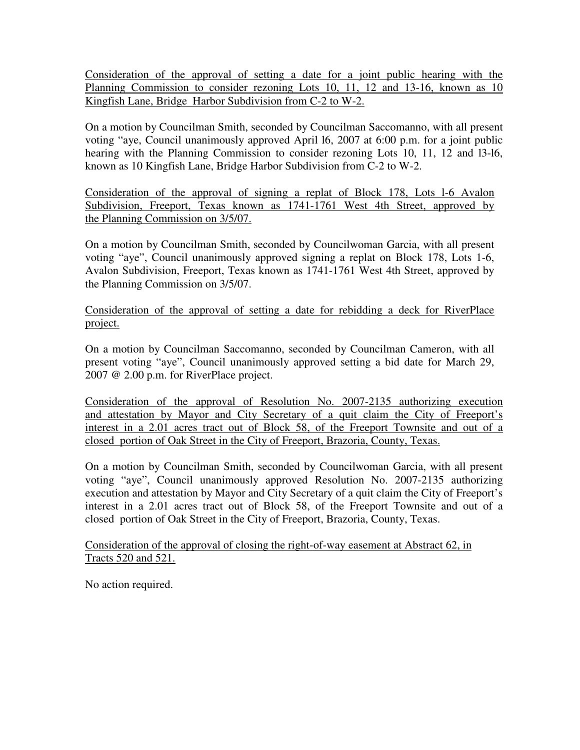Consideration of the approval of setting a date for a joint public hearing with the Planning Commission to consider rezoning Lots 10, 11, 12 and 13-16, known as 10 Kingfish Lane, Bridge Harbor Subdivision from C-2 to W-2.

On a motion by Councilman Smith, seconded by Councilman Saccomanno, with all present voting "aye, Council unanimously approved April l6, 2007 at 6:00 p.m. for a joint public hearing with the Planning Commission to consider rezoning Lots 10, 11, 12 and l3-l6, known as 10 Kingfish Lane, Bridge Harbor Subdivision from C-2 to W-2.

Consideration of the approval of signing a replat of Block 178, Lots l-6 Avalon Subdivision, Freeport, Texas known as 1741-1761 West 4th Street, approved by the Planning Commission on 3/5/07.

On a motion by Councilman Smith, seconded by Councilwoman Garcia, with all present voting "aye", Council unanimously approved signing a replat on Block 178, Lots 1-6, Avalon Subdivision, Freeport, Texas known as 1741-1761 West 4th Street, approved by the Planning Commission on 3/5/07.

Consideration of the approval of setting a date for rebidding a deck for RiverPlace project.

On a motion by Councilman Saccomanno, seconded by Councilman Cameron, with all present voting "aye", Council unanimously approved setting a bid date for March 29, 2007 @ 2.00 p.m. for RiverPlace project.

Consideration of the approval of Resolution No. 2007-2135 authorizing execution and attestation by Mayor and City Secretary of a quit claim the City of Freeport's interest in a 2.01 acres tract out of Block 58, of the Freeport Townsite and out of a closed portion of Oak Street in the City of Freeport, Brazoria, County, Texas.

On a motion by Councilman Smith, seconded by Councilwoman Garcia, with all present voting "aye", Council unanimously approved Resolution No. 2007-2135 authorizing execution and attestation by Mayor and City Secretary of a quit claim the City of Freeport's interest in a 2.01 acres tract out of Block 58, of the Freeport Townsite and out of a closed portion of Oak Street in the City of Freeport, Brazoria, County, Texas.

Consideration of the approval of closing the right-of-way easement at Abstract 62, in Tracts 520 and 521.

No action required.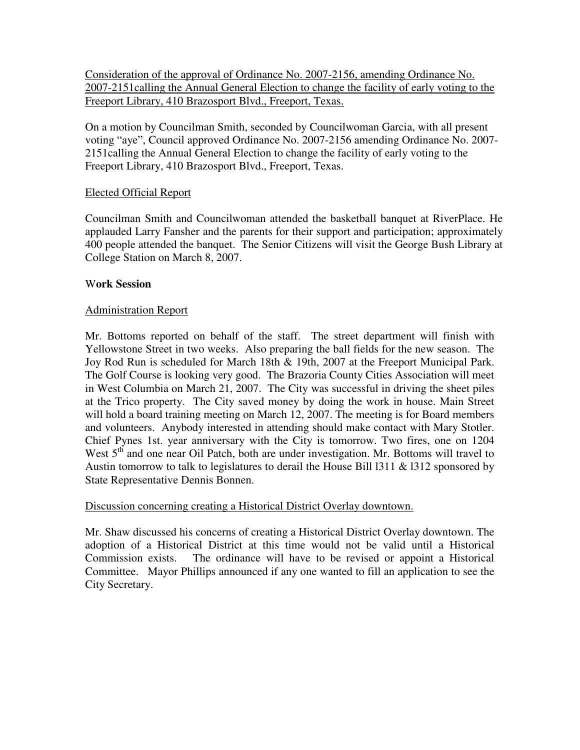Consideration of the approval of Ordinance No. 2007-2156, amending Ordinance No. 2007-2151calling the Annual General Election to change the facility of early voting to the Freeport Library, 410 Brazosport Blvd., Freeport, Texas.

On a motion by Councilman Smith, seconded by Councilwoman Garcia, with all present voting "aye", Council approved Ordinance No. 2007-2156 amending Ordinance No. 2007- 2151calling the Annual General Election to change the facility of early voting to the Freeport Library, 410 Brazosport Blvd., Freeport, Texas.

## Elected Official Report

Councilman Smith and Councilwoman attended the basketball banquet at RiverPlace. He applauded Larry Fansher and the parents for their support and participation; approximately 400 people attended the banquet. The Senior Citizens will visit the George Bush Library at College Station on March 8, 2007.

#### W**ork Session**

### Administration Report

Mr. Bottoms reported on behalf of the staff. The street department will finish with Yellowstone Street in two weeks. Also preparing the ball fields for the new season. The Joy Rod Run is scheduled for March 18th & 19th, 2007 at the Freeport Municipal Park. The Golf Course is looking very good. The Brazoria County Cities Association will meet in West Columbia on March 21, 2007. The City was successful in driving the sheet piles at the Trico property. The City saved money by doing the work in house. Main Street will hold a board training meeting on March 12, 2007. The meeting is for Board members and volunteers. Anybody interested in attending should make contact with Mary Stotler. Chief Pynes 1st. year anniversary with the City is tomorrow. Two fires, one on 1204 West 5<sup>th</sup> and one near Oil Patch, both are under investigation. Mr. Bottoms will travel to Austin tomorrow to talk to legislatures to derail the House Bill l311 & l312 sponsored by State Representative Dennis Bonnen.

#### Discussion concerning creating a Historical District Overlay downtown.

Mr. Shaw discussed his concerns of creating a Historical District Overlay downtown. The adoption of a Historical District at this time would not be valid until a Historical Commission exists. The ordinance will have to be revised or appoint a Historical Committee. Mayor Phillips announced if any one wanted to fill an application to see the City Secretary.